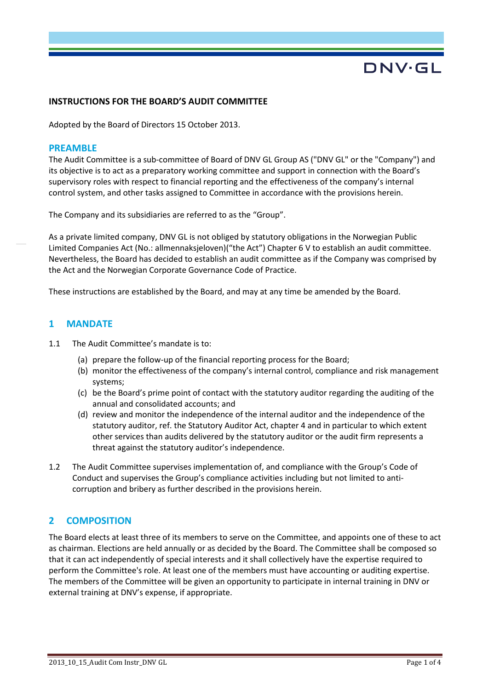# DNV·GL

#### **INSTRUCTIONS FOR THE BOARD'S AUDIT COMMITTEE**

Adopted by the Board of Directors 15 October 2013.

#### **PREAMBLE**

The Audit Committee is a sub-committee of Board of DNV GL Group AS ("DNV GL" or the "Company") and its objective is to act as a preparatory working committee and support in connection with the Board's supervisory roles with respect to financial reporting and the effectiveness of the company's internal control system, and other tasks assigned to Committee in accordance with the provisions herein.

The Company and its subsidiaries are referred to as the "Group".

As a private limited company, DNV GL is not obliged by statutory obligations in the Norwegian Public Limited Companies Act (No.: allmennaksjeloven)("the Act") Chapter 6 V to establish an audit committee. Nevertheless, the Board has decided to establish an audit committee as if the Company was comprised by the Act and the Norwegian Corporate Governance Code of Practice.

These instructions are established by the Board, and may at any time be amended by the Board.

#### **1 MANDATE**

- 1.1 The Audit Committee's mandate is to:
	- (a) prepare the follow-up of the financial reporting process for the Board;
	- (b) monitor the effectiveness of the company's internal control, compliance and risk management systems;
	- (c) be the Board's prime point of contact with the statutory auditor regarding the auditing of the annual and consolidated accounts; and
	- (d) review and monitor the independence of the internal auditor and the independence of the statutory auditor, ref. the Statutory Auditor Act, chapter 4 and in particular to which extent other services than audits delivered by the statutory auditor or the audit firm represents a threat against the statutory auditor's independence.
- 1.2 The Audit Committee supervises implementation of, and compliance with the Group's Code of Conduct and supervises the Group's compliance activities including but not limited to anticorruption and bribery as further described in the provisions herein.

## **2 COMPOSITION**

The Board elects at least three of its members to serve on the Committee, and appoints one of these to act as chairman. Elections are held annually or as decided by the Board. The Committee shall be composed so that it can act independently of special interests and it shall collectively have the expertise required to perform the Committee's role. At least one of the members must have accounting or auditing expertise. The members of the Committee will be given an opportunity to participate in internal training in DNV or external training at DNV's expense, if appropriate.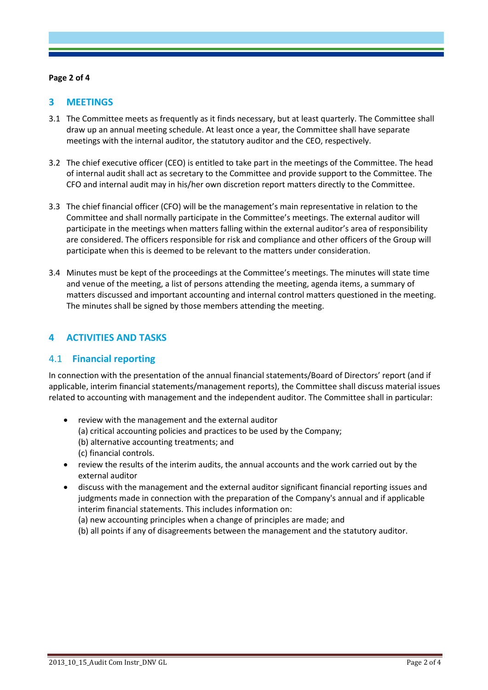#### **Page 2 of 4**

# **3 MEETINGS**

- 3.1 The Committee meets as frequently as it finds necessary, but at least quarterly. The Committee shall draw up an annual meeting schedule. At least once a year, the Committee shall have separate meetings with the internal auditor, the statutory auditor and the CEO, respectively.
- 3.2 The chief executive officer (CEO) is entitled to take part in the meetings of the Committee. The head of internal audit shall act as secretary to the Committee and provide support to the Committee. The CFO and internal audit may in his/her own discretion report matters directly to the Committee.
- 3.3 The chief financial officer (CFO) will be the management's main representative in relation to the Committee and shall normally participate in the Committee's meetings. The external auditor will participate in the meetings when matters falling within the external auditor's area of responsibility are considered. The officers responsible for risk and compliance and other officers of the Group will participate when this is deemed to be relevant to the matters under consideration.
- 3.4 Minutes must be kept of the proceedings at the Committee's meetings. The minutes will state time and venue of the meeting, a list of persons attending the meeting, agenda items, a summary of matters discussed and important accounting and internal control matters questioned in the meeting. The minutes shall be signed by those members attending the meeting.

# **4 ACTIVITIES AND TASKS**

## 4.1 **Financial reporting**

In connection with the presentation of the annual financial statements/Board of Directors' report (and if applicable, interim financial statements/management reports), the Committee shall discuss material issues related to accounting with management and the independent auditor. The Committee shall in particular:

- review with the management and the external auditor
	- (a) critical accounting policies and practices to be used by the Company;
	- (b) alternative accounting treatments; and
	- (c) financial controls.
- review the results of the interim audits, the annual accounts and the work carried out by the external auditor
- discuss with the management and the external auditor significant financial reporting issues and judgments made in connection with the preparation of the Company's annual and if applicable interim financial statements. This includes information on:
	- (a) new accounting principles when a change of principles are made; and
	- (b) all points if any of disagreements between the management and the statutory auditor.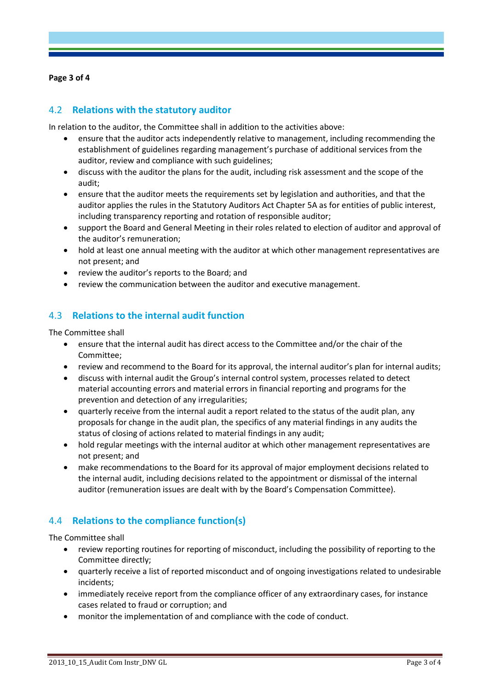#### **Page 3 of 4**

# 4.2 **Relations with the statutory auditor**

In relation to the auditor, the Committee shall in addition to the activities above:

- ensure that the auditor acts independently relative to management, including recommending the establishment of guidelines regarding management's purchase of additional services from the auditor, review and compliance with such guidelines;
- discuss with the auditor the plans for the audit, including risk assessment and the scope of the audit;
- ensure that the auditor meets the requirements set by legislation and authorities, and that the auditor applies the rules in the Statutory Auditors Act Chapter 5A as for entities of public interest, including transparency reporting and rotation of responsible auditor;
- support the Board and General Meeting in their roles related to election of auditor and approval of the auditor's remuneration;
- hold at least one annual meeting with the auditor at which other management representatives are not present; and
- review the auditor's reports to the Board; and
- review the communication between the auditor and executive management.

# 4.3 **Relations to the internal audit function**

The Committee shall

- ensure that the internal audit has direct access to the Committee and/or the chair of the Committee;
- review and recommend to the Board for its approval, the internal auditor's plan for internal audits;
- discuss with internal audit the Group's internal control system, processes related to detect material accounting errors and material errors in financial reporting and programs for the prevention and detection of any irregularities;
- quarterly receive from the internal audit a report related to the status of the audit plan, any proposals for change in the audit plan, the specifics of any material findings in any audits the status of closing of actions related to material findings in any audit;
- hold regular meetings with the internal auditor at which other management representatives are not present; and
- make recommendations to the Board for its approval of major employment decisions related to the internal audit, including decisions related to the appointment or dismissal of the internal auditor (remuneration issues are dealt with by the Board's Compensation Committee).

# 4.4 **Relations to the compliance function(s)**

The Committee shall

- review reporting routines for reporting of misconduct, including the possibility of reporting to the Committee directly;
- quarterly receive a list of reported misconduct and of ongoing investigations related to undesirable incidents;
- immediately receive report from the compliance officer of any extraordinary cases, for instance cases related to fraud or corruption; and
- monitor the implementation of and compliance with the code of conduct.